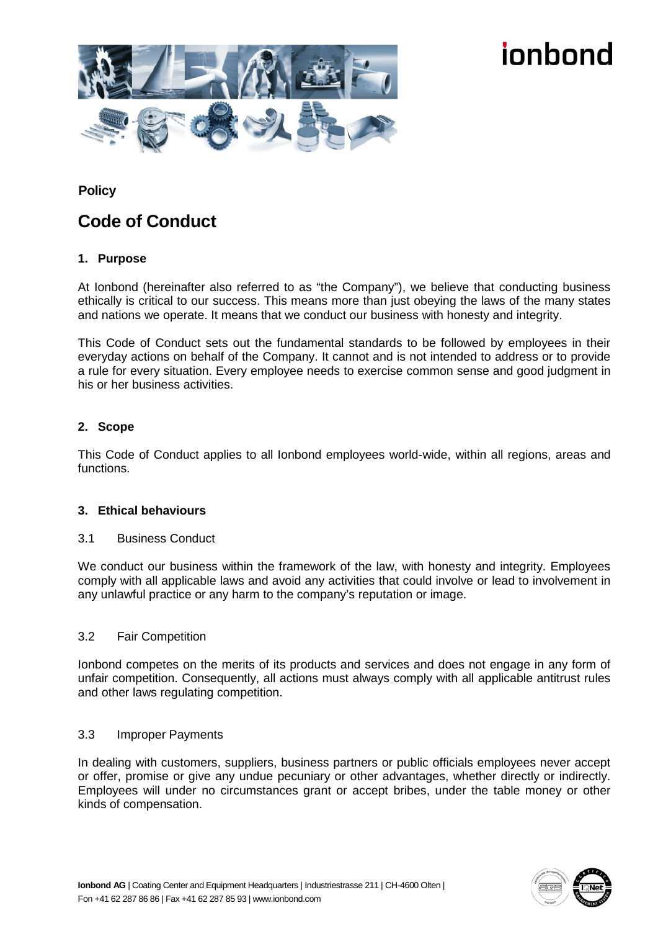

# innhond

**Policy**

# **Code of Conduct**

## **1. Purpose**

At Ionbond (hereinafter also referred to as "the Company"), we believe that conducting business ethically is critical to our success. This means more than just obeying the laws of the many states and nations we operate. It means that we conduct our business with honesty and integrity.

This Code of Conduct sets out the fundamental standards to be followed by employees in their everyday actions on behalf of the Company. It cannot and is not intended to address or to provide a rule for every situation. Every employee needs to exercise common sense and good judgment in his or her business activities.

### **2. Scope**

This Code of Conduct applies to all Ionbond employees world-wide, within all regions, areas and functions.

### **3. Ethical behaviours**

### 3.1 Business Conduct

We conduct our business within the framework of the law, with honesty and integrity. Employees comply with all applicable laws and avoid any activities that could involve or lead to involvement in any unlawful practice or any harm to the company's reputation or image.

### 3.2 Fair Competition

Ionbond competes on the merits of its products and services and does not engage in any form of unfair competition. Consequently, all actions must always comply with all applicable antitrust rules and other laws regulating competition.

### 3.3 Improper Payments

In dealing with customers, suppliers, business partners or public officials employees never accept or offer, promise or give any undue pecuniary or other advantages, whether directly or indirectly. Employees will under no circumstances grant or accept bribes, under the table money or other kinds of compensation.

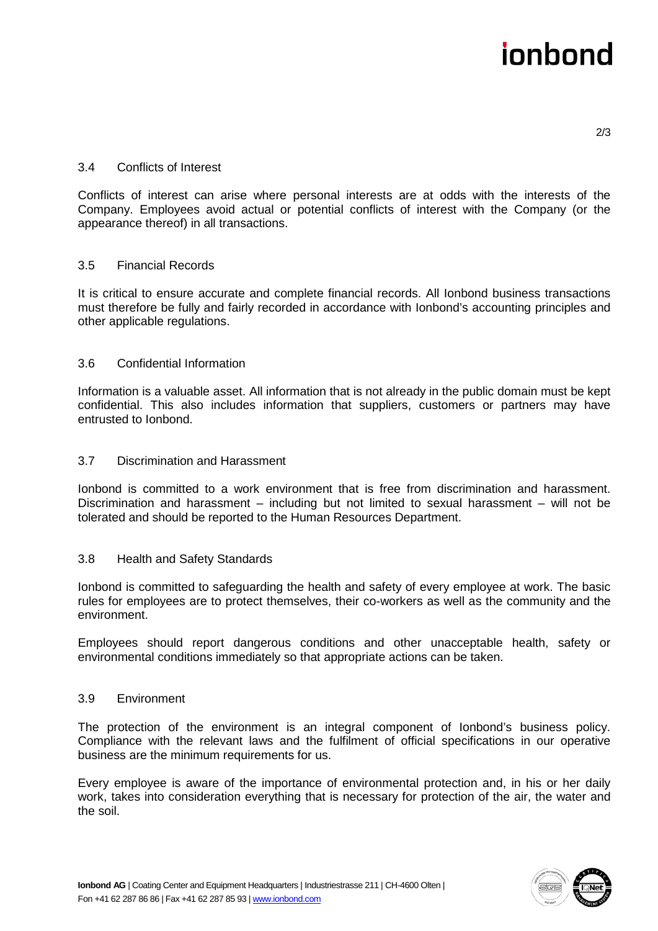# innhond

2/3

### 3.4 Conflicts of Interest

Conflicts of interest can arise where personal interests are at odds with the interests of the Company. Employees avoid actual or potential conflicts of interest with the Company (or the appearance thereof) in all transactions.

### 3.5 Financial Records

It is critical to ensure accurate and complete financial records. All Ionbond business transactions must therefore be fully and fairly recorded in accordance with Ionbond's accounting principles and other applicable regulations.

#### 3.6 Confidential Information

Information is a valuable asset. All information that is not already in the public domain must be kept confidential. This also includes information that suppliers, customers or partners may have entrusted to Ionbond.

#### 3.7 Discrimination and Harassment

Ionbond is committed to a work environment that is free from discrimination and harassment. Discrimination and harassment – including but not limited to sexual harassment – will not be tolerated and should be reported to the Human Resources Department.

#### 3.8 Health and Safety Standards

Ionbond is committed to safeguarding the health and safety of every employee at work. The basic rules for employees are to protect themselves, their co-workers as well as the community and the environment.

Employees should report dangerous conditions and other unacceptable health, safety or environmental conditions immediately so that appropriate actions can be taken.

#### 3.9 Environment

The protection of the environment is an integral component of Ionbond's business policy. Compliance with the relevant laws and the fulfilment of official specifications in our operative business are the minimum requirements for us.

Every employee is aware of the importance of environmental protection and, in his or her daily work, takes into consideration everything that is necessary for protection of the air, the water and the soil.